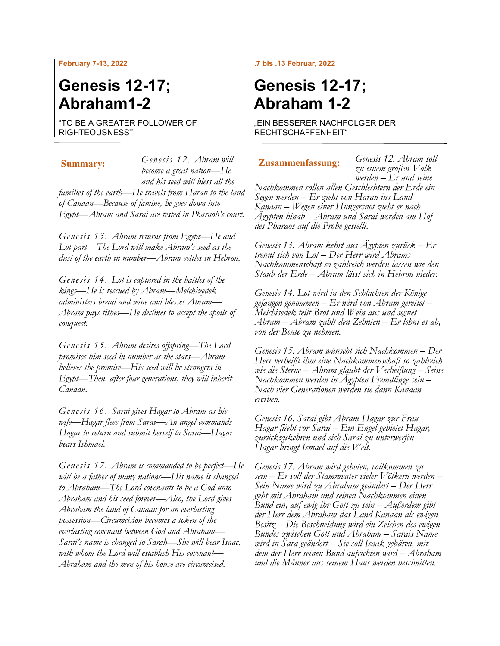### **February 7-13, 2022**

# **Genesis 12-17; Abraham1-2**

"TO BE A GREATER FOLLOWER OF RIGHTEOUSNESS""

### *Genesis 12. Abram will become a great nation—He and his seed will bless all the families of the earth—He travels from Haran to the land of Canaan—Because of famine, he goes down into Egypt—Abram and Sarai are tested in Pharaoh's court.* **Summary: Genesis 12. Apram will <b>Lusammenfassung:**

*Genesis 13. Abram returns from Egypt—He and Lot part—The Lord will make Abram's seed as the dust of the earth in number—Abram settles in Hebron.*

*Genesis 14. Lot is captured in the battles of the kings—He is rescued by Abram—Melchizedek administers bread and wine and blesses Abram— Abram pays tithes—He declines to accept the spoils of conquest.*

*Genesis 15. Abram desires offspring—The Lord promises him seed in number as the stars—Abram believes the promise—His seed will be strangers in Egypt—Then, after four generations, they will inherit Canaan.*

*Genesis 16. Sarai gives Hagar to Abram as his wife—Hagar flees from Sarai—An angel commands Hagar to return and submit herself to Sarai—Hagar bears Ishmael.*

*Genesis 17. Abram is commanded to be perfect—He will be a father of many nations—His name is changed to Abraham—The Lord covenants to be a God unto Abraham and his seed forever—Also, the Lord gives Abraham the land of Canaan for an everlasting possession—Circumcision becomes a token of the everlasting covenant between God and Abraham— Sarai's name is changed to Sarah—She will bear Isaac, with whom the Lord will establish His covenant— Abraham and the men of his house are circumcised.*

### **.7 bis .13 Februar, 2022**

# **Genesis 12-17; Abraham 1-2**

"EIN BESSERER NACHFOLGER DER RECHTSCHAFFENHEIT"

*Genesis 12. Abram soll zu einem großen Volk werden – Er und seine* 

*Nachkommen sollen allen Geschlechtern der Erde ein Segen werden – Er zieht von Haran ins Land Kanaan – Wegen einer Hungersnot zieht er nach Ägypten hinab – Abram und Sarai werden am Hof des Pharaos auf die Probe gestellt.*

*Genesis 13. Abram kehrt aus Ägypten zurück – Er trennt sich von Lot – Der Herr wird Abrams Nachkommenschaft so zahlreich werden lassen wie den Staub der Erde – Abram lässt sich in Hebron nieder.*

*Genesis 14. Lot wird in den Schlachten der Könige gefangen genommen – Er wird von Abram gerettet – Melchisedek teilt Brot und Wein aus und segnet Abram – Abram zahlt den Zehnten – Er lehnt es ab, von der Beute zu nehmen.*

*Genesis 15. Abram wünscht sich Nachkommen – Der Herr verheißt ihm eine Nachkommenschaft so zahlreich wie die Sterne – Abram glaubt der Verheißung – Seine Nachkommen werden in Ägypten Fremdlinge sein – Nach vier Generationen werden sie dann Kanaan ererben.*

*Genesis 16. Sarai gibt Abram Hagar zur Frau – Hagar flieht vor Sarai – Ein Engel gebietet Hagar, zurückzukehren und sich Sarai zu unterwerfen – Hagar bringt Ismael auf die Welt.*

*Genesis 17. Abram wird geboten, vollkommen zu sein – Er soll der Stammvater vieler Völkern werden – Sein Name wird zu Abraham geändert – Der Herr geht mit Abraham und seinen Nachkommen einen Bund ein, auf ewig ihr Gott zu sein – Außerdem gibt der Herr dem Abraham das Land Kanaan als ewigen Besitz – Die Beschneidung wird ein Zeichen des ewigen Bundes zwischen Gott und Abraham – Sarais Name wird in Sara geändert – Sie soll Isaak gebären, mit dem der Herr seinen Bund aufrichten wird – Abraham und die Männer aus seinem Haus werden beschnitten.*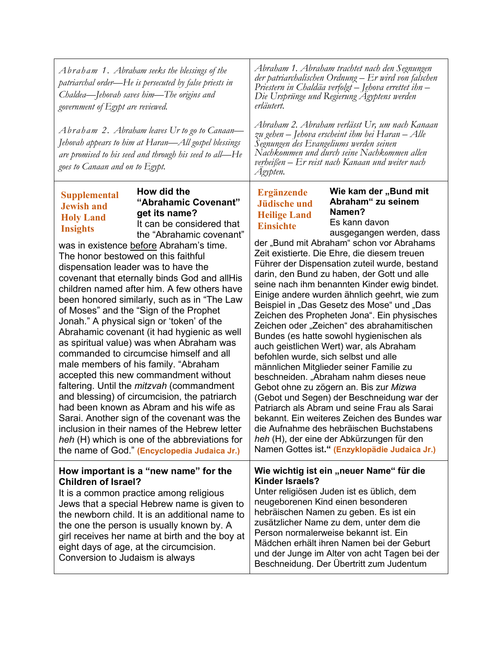| Abraham 1. Abraham seeks the blessings of the<br>patriarchal order—He is persecuted by false priests in<br>Chaldea—Jehovah saves him—The origins and<br>government of Egypt are reviewed.<br>Abraham 2. Abraham leaves Ur to go to Canaan—                                                                                                                                                                                                                                                                                                                                                                                                                                                                                                                                                                                                                                                                                                                                                                                                                                                                                            | Abraham 1. Abraham trachtet nach den Segnungen<br>der patriarchalischen Ordnung – Er wird von falschen<br>Priestern in Chaldäa verfolgt – Jehova errettet ihn –<br>Die Ursprünge und Regierung Agyptens werden<br>erläutert.<br>Abraham 2. Abraham verlässt Ur, um nach Kanaan                                                                                                                                                                                                                                                                                                                                                                                                                                                                                                                                                                                                                                                                                                                                                                                                                                                                                                          |  |
|---------------------------------------------------------------------------------------------------------------------------------------------------------------------------------------------------------------------------------------------------------------------------------------------------------------------------------------------------------------------------------------------------------------------------------------------------------------------------------------------------------------------------------------------------------------------------------------------------------------------------------------------------------------------------------------------------------------------------------------------------------------------------------------------------------------------------------------------------------------------------------------------------------------------------------------------------------------------------------------------------------------------------------------------------------------------------------------------------------------------------------------|-----------------------------------------------------------------------------------------------------------------------------------------------------------------------------------------------------------------------------------------------------------------------------------------------------------------------------------------------------------------------------------------------------------------------------------------------------------------------------------------------------------------------------------------------------------------------------------------------------------------------------------------------------------------------------------------------------------------------------------------------------------------------------------------------------------------------------------------------------------------------------------------------------------------------------------------------------------------------------------------------------------------------------------------------------------------------------------------------------------------------------------------------------------------------------------------|--|
| Jehovah appears to him at Haran—All gospel blessings<br>are promised to his seed and through his seed to all-He<br>goes to Canaan and on to Egypt.                                                                                                                                                                                                                                                                                                                                                                                                                                                                                                                                                                                                                                                                                                                                                                                                                                                                                                                                                                                    | zu gehen – Jehova erscheint ihm bei Haran – Alle<br>Segnungen des Evangeliums werden seinen<br>Nachkommen und durch seine Nachkommen allen<br>verheißen – Er reist nach Kanaan und weiter nach<br>Agypten.                                                                                                                                                                                                                                                                                                                                                                                                                                                                                                                                                                                                                                                                                                                                                                                                                                                                                                                                                                              |  |
| How did the<br><b>Supplemental</b><br>"Abrahamic Covenant"<br><b>Jewish and</b><br>get its name?<br><b>Holy Land</b><br>It can be considered that<br><b>Insights</b><br>the "Abrahamic covenant"<br>was in existence before Abraham's time.<br>The honor bestowed on this faithful<br>dispensation leader was to have the<br>covenant that eternally binds God and allHis<br>children named after him. A few others have<br>been honored similarly, such as in "The Law<br>of Moses" and the "Sign of the Prophet<br>Jonah." A physical sign or 'token' of the<br>Abrahamic covenant (it had hygienic as well<br>as spiritual value) was when Abraham was<br>commanded to circumcise himself and all<br>male members of his family. "Abraham<br>accepted this new commandment without<br>faltering. Until the <i>mitzvah</i> (commandment<br>and blessing) of circumcision, the patriarch<br>had been known as Abram and his wife as<br>Sarai. Another sign of the covenant was the<br>inclusion in their names of the Hebrew letter<br>heh (H) which is one of the abbreviations for<br>the name of God." (Encyclopedia Judaica Jr.) | Wie kam der "Bund mit<br><b>Ergänzende</b><br>Abraham" zu seinem<br><b>Jüdische und</b><br>Namen?<br><b>Heilige Land</b><br>Es kann davon<br><b>Einsichte</b><br>ausgegangen werden, dass<br>der "Bund mit Abraham" schon vor Abrahams<br>Zeit existierte. Die Ehre, die diesem treuen<br>Führer der Dispensation zuteil wurde, bestand<br>darin, den Bund zu haben, der Gott und alle<br>seine nach ihm benannten Kinder ewig bindet.<br>Einige andere wurden ähnlich geehrt, wie zum<br>Beispiel in "Das Gesetz des Mose" und "Das<br>Zeichen des Propheten Jona". Ein physisches<br>Zeichen oder "Zeichen" des abrahamitischen<br>Bundes (es hatte sowohl hygienischen als<br>auch geistlichen Wert) war, als Abraham<br>befohlen wurde, sich selbst und alle<br>männlichen Mitglieder seiner Familie zu<br>beschneiden. "Abraham nahm dieses neue<br>Gebot ohne zu zögern an. Bis zur Mizwa<br>(Gebot und Segen) der Beschneidung war der<br>Patriarch als Abram und seine Frau als Sarai<br>bekannt. Ein weiteres Zeichen des Bundes war<br>die Aufnahme des hebräischen Buchstabens<br>heh (H), der eine der Abkürzungen für den<br>Namen Gottes ist." (Enzyklopädie Judaica Jr.) |  |
| How important is a "new name" for the<br><b>Children of Israel?</b><br>It is a common practice among religious<br>Jews that a special Hebrew name is given to<br>the newborn child. It is an additional name to<br>the one the person is usually known by. A<br>girl receives her name at birth and the boy at<br>eight days of age, at the circumcision.<br>Conversion to Judaism is always                                                                                                                                                                                                                                                                                                                                                                                                                                                                                                                                                                                                                                                                                                                                          | Wie wichtig ist ein "neuer Name" für die<br><b>Kinder Israels?</b><br>Unter religiösen Juden ist es üblich, dem<br>neugeborenen Kind einen besonderen<br>hebräischen Namen zu geben. Es ist ein<br>zusätzlicher Name zu dem, unter dem die<br>Person normalerweise bekannt ist. Ein<br>Mädchen erhält ihren Namen bei der Geburt<br>und der Junge im Alter von acht Tagen bei der<br>Beschneidung. Der Übertritt zum Judentum                                                                                                                                                                                                                                                                                                                                                                                                                                                                                                                                                                                                                                                                                                                                                           |  |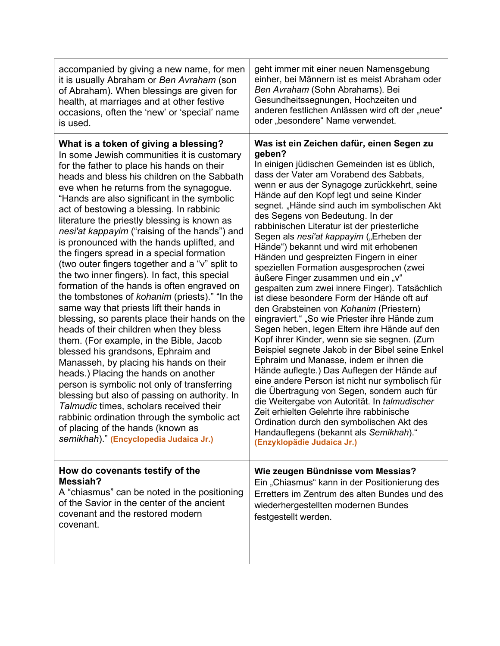| accompanied by giving a new name, for men<br>it is usually Abraham or Ben Avraham (son<br>of Abraham). When blessings are given for<br>health, at marriages and at other festive<br>occasions, often the 'new' or 'special' name<br>is used.                                                                                                                                                                                                                                                                                                                                                                                                                                                                                                                                                                                                                                                                                                                                                                                                                                                                                                                                                                                                                                                                 | geht immer mit einer neuen Namensgebung<br>einher, bei Männern ist es meist Abraham oder<br>Ben Avraham (Sohn Abrahams). Bei<br>Gesundheitssegnungen, Hochzeiten und<br>anderen festlichen Anlässen wird oft der "neue"<br>oder "besondere" Name verwendet.                                                                                                                                                                                                                                                                                                                                                                                                                                                                                                                                                                                                                                                                                                                                                                                                                                                                                                                                                                                                                                                                                                    |
|--------------------------------------------------------------------------------------------------------------------------------------------------------------------------------------------------------------------------------------------------------------------------------------------------------------------------------------------------------------------------------------------------------------------------------------------------------------------------------------------------------------------------------------------------------------------------------------------------------------------------------------------------------------------------------------------------------------------------------------------------------------------------------------------------------------------------------------------------------------------------------------------------------------------------------------------------------------------------------------------------------------------------------------------------------------------------------------------------------------------------------------------------------------------------------------------------------------------------------------------------------------------------------------------------------------|----------------------------------------------------------------------------------------------------------------------------------------------------------------------------------------------------------------------------------------------------------------------------------------------------------------------------------------------------------------------------------------------------------------------------------------------------------------------------------------------------------------------------------------------------------------------------------------------------------------------------------------------------------------------------------------------------------------------------------------------------------------------------------------------------------------------------------------------------------------------------------------------------------------------------------------------------------------------------------------------------------------------------------------------------------------------------------------------------------------------------------------------------------------------------------------------------------------------------------------------------------------------------------------------------------------------------------------------------------------|
| What is a token of giving a blessing?<br>In some Jewish communities it is customary<br>for the father to place his hands on their<br>heads and bless his children on the Sabbath<br>eve when he returns from the synagogue.<br>"Hands are also significant in the symbolic<br>act of bestowing a blessing. In rabbinic<br>literature the priestly blessing is known as<br>nesi'at kappayim ("raising of the hands") and<br>is pronounced with the hands uplifted, and<br>the fingers spread in a special formation<br>(two outer fingers together and a "v" split to<br>the two inner fingers). In fact, this special<br>formation of the hands is often engraved on<br>the tombstones of kohanim (priests)." "In the<br>same way that priests lift their hands in<br>blessing, so parents place their hands on the<br>heads of their children when they bless<br>them. (For example, in the Bible, Jacob<br>blessed his grandsons, Ephraim and<br>Manasseh, by placing his hands on their<br>heads.) Placing the hands on another<br>person is symbolic not only of transferring<br>blessing but also of passing on authority. In<br>Talmudic times, scholars received their<br>rabbinic ordination through the symbolic act<br>of placing of the hands (known as<br>semikhah)." (Encyclopedia Judaica Jr.) | Was ist ein Zeichen dafür, einen Segen zu<br>geben?<br>In einigen jüdischen Gemeinden ist es üblich,<br>dass der Vater am Vorabend des Sabbats,<br>wenn er aus der Synagoge zurückkehrt, seine<br>Hände auf den Kopf legt und seine Kinder<br>segnet. "Hände sind auch im symbolischen Akt<br>des Segens von Bedeutung. In der<br>rabbinischen Literatur ist der priesterliche<br>Segen als nesi'at kappayim ("Erheben der<br>Hände") bekannt und wird mit erhobenen<br>Händen und gespreizten Fingern in einer<br>speziellen Formation ausgesprochen (zwei<br>äußere Finger zusammen und ein "v"<br>gespalten zum zwei innere Finger). Tatsächlich<br>ist diese besondere Form der Hände oft auf<br>den Grabsteinen von Kohanim (Priestern)<br>eingraviert." "So wie Priester ihre Hände zum<br>Segen heben, legen Eltern ihre Hände auf den<br>Kopf ihrer Kinder, wenn sie sie segnen. (Zum<br>Beispiel segnete Jakob in der Bibel seine Enkel<br>Ephraim und Manasse, indem er ihnen die<br>Hände auflegte.) Das Auflegen der Hände auf<br>eine andere Person ist nicht nur symbolisch für<br>die Übertragung von Segen, sondern auch für<br>die Weitergabe von Autorität. In talmudischer<br>Zeit erhielten Gelehrte ihre rabbinische<br>Ordination durch den symbolischen Akt des<br>Handauflegens (bekannt als Semikhah)."<br>(Enzyklopädie Judaica Jr.) |
| How do covenants testify of the<br>Messiah?<br>A "chiasmus" can be noted in the positioning<br>of the Savior in the center of the ancient<br>covenant and the restored modern<br>covenant.                                                                                                                                                                                                                                                                                                                                                                                                                                                                                                                                                                                                                                                                                                                                                                                                                                                                                                                                                                                                                                                                                                                   | Wie zeugen Bündnisse vom Messias?<br>Ein "Chiasmus" kann in der Positionierung des<br>Erretters im Zentrum des alten Bundes und des<br>wiederhergestellten modernen Bundes<br>festgestellt werden.                                                                                                                                                                                                                                                                                                                                                                                                                                                                                                                                                                                                                                                                                                                                                                                                                                                                                                                                                                                                                                                                                                                                                             |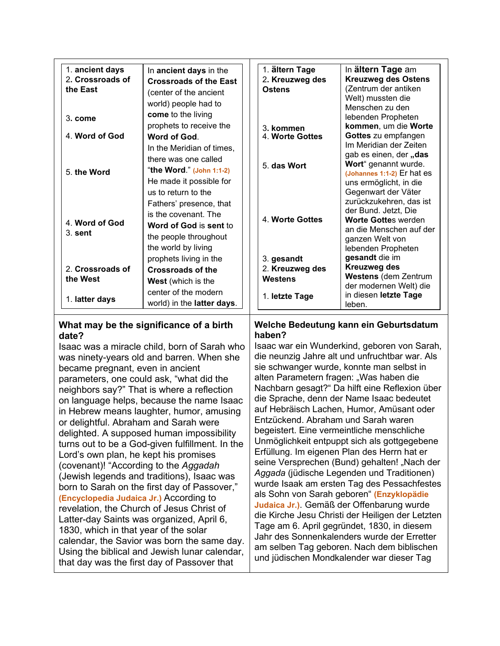| 1. ancient days<br>2. Crossroads of<br>the East | In ancient days in the<br><b>Crossroads of the East</b><br>(center of the ancient<br>world) people had to                        | 1. ältern Tage<br>2. Kreuzweg des<br><b>Ostens</b> | In ältern Tage am<br><b>Kreuzweg des Ostens</b><br>(Zentrum der antiken<br>Welt) mussten die<br>Menschen zu den                                   |
|-------------------------------------------------|----------------------------------------------------------------------------------------------------------------------------------|----------------------------------------------------|---------------------------------------------------------------------------------------------------------------------------------------------------|
| $3.$ come<br>4. Word of God                     | come to the living<br>prophets to receive the<br>Word of God.                                                                    | 3. kommen<br>4. Worte Gottes                       | lebenden Propheten<br>kommen, um die Worte<br>Gottes zu empfangen<br>Im Meridian der Zeiten                                                       |
| 5. the Word                                     | In the Meridian of times,<br>there was one called<br>"the Word." (John 1:1-2)<br>He made it possible for<br>us to return to the  | 5. das Wort                                        | gab es einen, der "das<br>Wort" genannt wurde.<br>(Johannes 1:1-2) Er hat es<br>uns ermöglicht, in die<br>Gegenwart der Väter                     |
| 4. Word of God<br>$3.$ sent                     | Fathers' presence, that<br>is the covenant. The<br><b>Word of God is sent to</b><br>the people throughout<br>the world by living | 4. Worte Gottes                                    | zurückzukehren, das ist<br>der Bund. Jetzt, Die<br><b>Worte Gottes werden</b><br>an die Menschen auf der<br>ganzen Welt von<br>lebenden Propheten |
| 2. Crossroads of<br>the West                    | prophets living in the<br>Crossroads of the<br><b>West</b> (which is the                                                         | 3. gesandt<br>2. Kreuzweg des<br>Westens           | gesandt die im<br><b>Kreuzweg des</b><br><b>Westens (dem Zentrum</b><br>der modernen Welt) die                                                    |
| 1. latter days                                  | center of the modern<br>world) in the latter days.                                                                               | 1. letzte Tage                                     | in diesen letzte Tage<br>leben.                                                                                                                   |

# **What may be the significance of a birth date?**

Isaac was a miracle child, born of Sarah who was ninety-years old and barren. When she became pregnant, even in ancient parameters, one could ask, "what did the neighbors say?" That is where a reflection on language helps, because the name Isaac in Hebrew means laughter, humor, amusing or delightful. Abraham and Sarah were delighted. A supposed human impossibility turns out to be a God-given fulfillment. In the Lord's own plan, he kept his promises (covenant)! "According to the *Aggadah* (Jewish legends and traditions), Isaac was born to Sarah on the first day of Passover," **(Encyclopedia Judaica Jr.)** According to revelation, the Church of Jesus Christ of Latter-day Saints was organized, April 6, 1830, which in that year of the solar calendar, the Savior was born the same day. Using the biblical and Jewish lunar calendar, that day was the first day of Passover that

# **Welche Bedeutung kann ein Geburtsdatum haben?**

Isaac war ein Wunderkind, geboren von Sarah, die neunzig Jahre alt und unfruchtbar war. Als sie schwanger wurde, konnte man selbst in alten Parametern fragen: "Was haben die Nachbarn gesagt?" Da hilft eine Reflexion über die Sprache, denn der Name Isaac bedeutet auf Hebräisch Lachen, Humor, Amüsant oder Entzückend. Abraham und Sarah waren begeistert. Eine vermeintliche menschliche Unmöglichkeit entpuppt sich als gottgegebene Erfüllung. Im eigenen Plan des Herrn hat er seine Versprechen (Bund) gehalten! "Nach der *Aggada* (jüdische Legenden und Traditionen) wurde Isaak am ersten Tag des Pessachfestes als Sohn von Sarah geboren" **(Enzyklopädie Judaica Jr.)**. Gemäß der Offenbarung wurde die Kirche Jesu Christi der Heiligen der Letzten Tage am 6. April gegründet, 1830, in diesem Jahr des Sonnenkalenders wurde der Erretter am selben Tag geboren. Nach dem biblischen und jüdischen Mondkalender war dieser Tag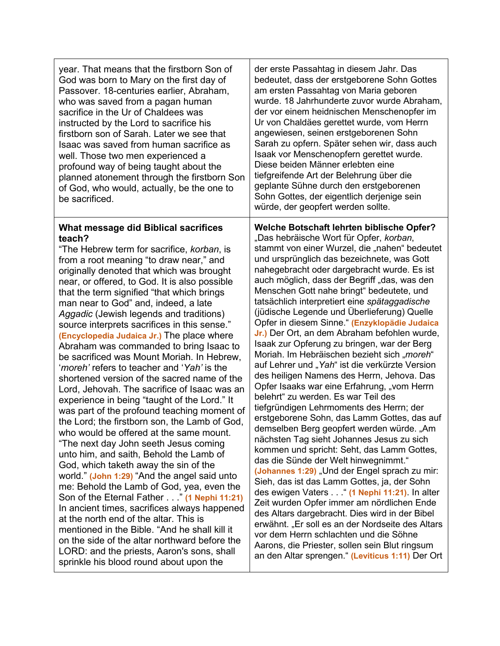| year. That means that the firstborn Son of<br>God was born to Mary on the first day of<br>Passover. 18-centuries earlier, Abraham,<br>who was saved from a pagan human<br>sacrifice in the Ur of Chaldees was<br>instructed by the Lord to sacrifice his<br>firstborn son of Sarah. Later we see that<br>Isaac was saved from human sacrifice as<br>well. Those two men experienced a<br>profound way of being taught about the<br>planned atonement through the firstborn Son<br>of God, who would, actually, be the one to<br>be sacrificed. | der erste Passahtag in diesem Jahr. Das<br>bedeutet, dass der erstgeborene Sohn Gottes<br>am ersten Passahtag von Maria geboren<br>wurde. 18 Jahrhunderte zuvor wurde Abraham,<br>der vor einem heidnischen Menschenopfer im<br>Ur von Chaldäes gerettet wurde, vom Herrn<br>angewiesen, seinen erstgeborenen Sohn<br>Sarah zu opfern. Später sehen wir, dass auch<br>Isaak vor Menschenopfern gerettet wurde.<br>Diese beiden Männer erlebten eine<br>tiefgreifende Art der Belehrung über die<br>geplante Sühne durch den erstgeborenen<br>Sohn Gottes, der eigentlich derjenige sein<br>würde, der geopfert werden sollte. |
|------------------------------------------------------------------------------------------------------------------------------------------------------------------------------------------------------------------------------------------------------------------------------------------------------------------------------------------------------------------------------------------------------------------------------------------------------------------------------------------------------------------------------------------------|-------------------------------------------------------------------------------------------------------------------------------------------------------------------------------------------------------------------------------------------------------------------------------------------------------------------------------------------------------------------------------------------------------------------------------------------------------------------------------------------------------------------------------------------------------------------------------------------------------------------------------|
| What message did Biblical sacrifices                                                                                                                                                                                                                                                                                                                                                                                                                                                                                                           | Welche Botschaft lehrten biblische Opfer?                                                                                                                                                                                                                                                                                                                                                                                                                                                                                                                                                                                     |
| teach?                                                                                                                                                                                                                                                                                                                                                                                                                                                                                                                                         | "Das hebräische Wort für Opfer, korban,                                                                                                                                                                                                                                                                                                                                                                                                                                                                                                                                                                                       |
| "The Hebrew term for sacrifice, korban, is                                                                                                                                                                                                                                                                                                                                                                                                                                                                                                     | stammt von einer Wurzel, die "nahen" bedeutet                                                                                                                                                                                                                                                                                                                                                                                                                                                                                                                                                                                 |
| from a root meaning "to draw near," and                                                                                                                                                                                                                                                                                                                                                                                                                                                                                                        | und ursprünglich das bezeichnete, was Gott                                                                                                                                                                                                                                                                                                                                                                                                                                                                                                                                                                                    |
| originally denoted that which was brought                                                                                                                                                                                                                                                                                                                                                                                                                                                                                                      | nahegebracht oder dargebracht wurde. Es ist                                                                                                                                                                                                                                                                                                                                                                                                                                                                                                                                                                                   |
| near, or offered, to God. It is also possible                                                                                                                                                                                                                                                                                                                                                                                                                                                                                                  | auch möglich, dass der Begriff "das, was den                                                                                                                                                                                                                                                                                                                                                                                                                                                                                                                                                                                  |
| that the term signified "that which brings                                                                                                                                                                                                                                                                                                                                                                                                                                                                                                     | Menschen Gott nahe bringt" bedeutete, und                                                                                                                                                                                                                                                                                                                                                                                                                                                                                                                                                                                     |
| man near to God" and, indeed, a late                                                                                                                                                                                                                                                                                                                                                                                                                                                                                                           | tatsächlich interpretiert eine spätaggadische                                                                                                                                                                                                                                                                                                                                                                                                                                                                                                                                                                                 |
| Aggadic (Jewish legends and traditions)                                                                                                                                                                                                                                                                                                                                                                                                                                                                                                        | (jüdische Legende und Überlieferung) Quelle                                                                                                                                                                                                                                                                                                                                                                                                                                                                                                                                                                                   |
| source interprets sacrifices in this sense."                                                                                                                                                                                                                                                                                                                                                                                                                                                                                                   | Opfer in diesem Sinne." (Enzyklopädie Judaica                                                                                                                                                                                                                                                                                                                                                                                                                                                                                                                                                                                 |
| (Encyclopedia Judaica Jr.) The place where                                                                                                                                                                                                                                                                                                                                                                                                                                                                                                     | Jr.) Der Ort, an dem Abraham befohlen wurde,                                                                                                                                                                                                                                                                                                                                                                                                                                                                                                                                                                                  |
| Abraham was commanded to bring Isaac to                                                                                                                                                                                                                                                                                                                                                                                                                                                                                                        | Isaak zur Opferung zu bringen, war der Berg                                                                                                                                                                                                                                                                                                                                                                                                                                                                                                                                                                                   |
| be sacrificed was Mount Moriah. In Hebrew,                                                                                                                                                                                                                                                                                                                                                                                                                                                                                                     | Moriah. Im Hebräischen bezieht sich "moreh"                                                                                                                                                                                                                                                                                                                                                                                                                                                                                                                                                                                   |
| 'moreh' refers to teacher and 'Yah' is the                                                                                                                                                                                                                                                                                                                                                                                                                                                                                                     | auf Lehrer und "Yah" ist die verkürzte Version                                                                                                                                                                                                                                                                                                                                                                                                                                                                                                                                                                                |
| shortened version of the sacred name of the                                                                                                                                                                                                                                                                                                                                                                                                                                                                                                    | des heiligen Namens des Herrn, Jehova. Das                                                                                                                                                                                                                                                                                                                                                                                                                                                                                                                                                                                    |
| Lord, Jehovah. The sacrifice of Isaac was an                                                                                                                                                                                                                                                                                                                                                                                                                                                                                                   | Opfer Isaaks war eine Erfahrung, "vom Herrn                                                                                                                                                                                                                                                                                                                                                                                                                                                                                                                                                                                   |
| experience in being "taught of the Lord." It                                                                                                                                                                                                                                                                                                                                                                                                                                                                                                   | belehrt" zu werden. Es war Teil des                                                                                                                                                                                                                                                                                                                                                                                                                                                                                                                                                                                           |
| was part of the profound teaching moment of                                                                                                                                                                                                                                                                                                                                                                                                                                                                                                    | tiefgründigen Lehrmoments des Herrn; der                                                                                                                                                                                                                                                                                                                                                                                                                                                                                                                                                                                      |
| the Lord; the firstborn son, the Lamb of God,                                                                                                                                                                                                                                                                                                                                                                                                                                                                                                  | erstgeborene Sohn, das Lamm Gottes, das auf                                                                                                                                                                                                                                                                                                                                                                                                                                                                                                                                                                                   |
| who would be offered at the same mount.                                                                                                                                                                                                                                                                                                                                                                                                                                                                                                        | demselben Berg geopfert werden würde. "Am                                                                                                                                                                                                                                                                                                                                                                                                                                                                                                                                                                                     |
| "The next day John seeth Jesus coming                                                                                                                                                                                                                                                                                                                                                                                                                                                                                                          | nächsten Tag sieht Johannes Jesus zu sich                                                                                                                                                                                                                                                                                                                                                                                                                                                                                                                                                                                     |
| unto him, and saith, Behold the Lamb of                                                                                                                                                                                                                                                                                                                                                                                                                                                                                                        | kommen und spricht: Seht, das Lamm Gottes,                                                                                                                                                                                                                                                                                                                                                                                                                                                                                                                                                                                    |
| God, which taketh away the sin of the                                                                                                                                                                                                                                                                                                                                                                                                                                                                                                          | das die Sünde der Welt hinwegnimmt."                                                                                                                                                                                                                                                                                                                                                                                                                                                                                                                                                                                          |
| world." (John 1:29) "And the angel said unto                                                                                                                                                                                                                                                                                                                                                                                                                                                                                                   | (Johannes 1:29) "Und der Engel sprach zu mir:                                                                                                                                                                                                                                                                                                                                                                                                                                                                                                                                                                                 |
| me: Behold the Lamb of God, yea, even the                                                                                                                                                                                                                                                                                                                                                                                                                                                                                                      | Sieh, das ist das Lamm Gottes, ja, der Sohn                                                                                                                                                                                                                                                                                                                                                                                                                                                                                                                                                                                   |
| Son of the Eternal Father " (1 Nephi 11:21)                                                                                                                                                                                                                                                                                                                                                                                                                                                                                                    | des ewigen Vaters " (1 Nephi 11:21). In alter                                                                                                                                                                                                                                                                                                                                                                                                                                                                                                                                                                                 |
| In ancient times, sacrifices always happened                                                                                                                                                                                                                                                                                                                                                                                                                                                                                                   | Zeit wurden Opfer immer am nördlichen Ende                                                                                                                                                                                                                                                                                                                                                                                                                                                                                                                                                                                    |
| at the north end of the altar. This is                                                                                                                                                                                                                                                                                                                                                                                                                                                                                                         | des Altars dargebracht. Dies wird in der Bibel                                                                                                                                                                                                                                                                                                                                                                                                                                                                                                                                                                                |
| mentioned in the Bible. "And he shall kill it                                                                                                                                                                                                                                                                                                                                                                                                                                                                                                  | erwähnt. "Er soll es an der Nordseite des Altars                                                                                                                                                                                                                                                                                                                                                                                                                                                                                                                                                                              |
| on the side of the altar northward before the                                                                                                                                                                                                                                                                                                                                                                                                                                                                                                  | vor dem Herrn schlachten und die Söhne                                                                                                                                                                                                                                                                                                                                                                                                                                                                                                                                                                                        |
| LORD: and the priests, Aaron's sons, shall                                                                                                                                                                                                                                                                                                                                                                                                                                                                                                     | Aarons, die Priester, sollen sein Blut ringsum                                                                                                                                                                                                                                                                                                                                                                                                                                                                                                                                                                                |
| sprinkle his blood round about upon the                                                                                                                                                                                                                                                                                                                                                                                                                                                                                                        | an den Altar sprengen." (Leviticus 1:11) Der Ort                                                                                                                                                                                                                                                                                                                                                                                                                                                                                                                                                                              |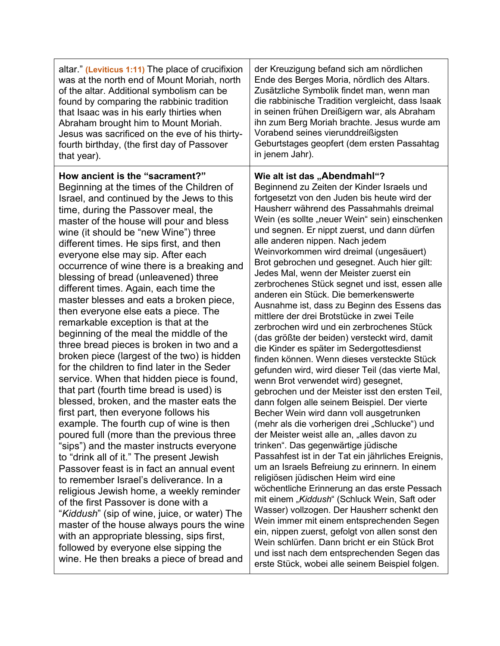| altar." (Leviticus 1:11) The place of crucifixion                                                                                                                                                                                                                                                                                                                                                                                                                                                                                                                                                                                                                                                                                                                                                                                                                                                                                                                                                                                                                                                                                                                                                                                                                                                                                                                                                                                                                                                                                                                      | der Kreuzigung befand sich am nördlichen                                                                                                                                                                                                                                                                                                                                                                                                                                                                                                                                                                                                                                                                                                                                                                                                                                                                                                                                                                                                                                                                                                                                                                                                                                                                                                                                                                                                                                                                                                                                                                                                                                                                                                                          |
|------------------------------------------------------------------------------------------------------------------------------------------------------------------------------------------------------------------------------------------------------------------------------------------------------------------------------------------------------------------------------------------------------------------------------------------------------------------------------------------------------------------------------------------------------------------------------------------------------------------------------------------------------------------------------------------------------------------------------------------------------------------------------------------------------------------------------------------------------------------------------------------------------------------------------------------------------------------------------------------------------------------------------------------------------------------------------------------------------------------------------------------------------------------------------------------------------------------------------------------------------------------------------------------------------------------------------------------------------------------------------------------------------------------------------------------------------------------------------------------------------------------------------------------------------------------------|-------------------------------------------------------------------------------------------------------------------------------------------------------------------------------------------------------------------------------------------------------------------------------------------------------------------------------------------------------------------------------------------------------------------------------------------------------------------------------------------------------------------------------------------------------------------------------------------------------------------------------------------------------------------------------------------------------------------------------------------------------------------------------------------------------------------------------------------------------------------------------------------------------------------------------------------------------------------------------------------------------------------------------------------------------------------------------------------------------------------------------------------------------------------------------------------------------------------------------------------------------------------------------------------------------------------------------------------------------------------------------------------------------------------------------------------------------------------------------------------------------------------------------------------------------------------------------------------------------------------------------------------------------------------------------------------------------------------------------------------------------------------|
| was at the north end of Mount Moriah, north                                                                                                                                                                                                                                                                                                                                                                                                                                                                                                                                                                                                                                                                                                                                                                                                                                                                                                                                                                                                                                                                                                                                                                                                                                                                                                                                                                                                                                                                                                                            | Ende des Berges Moria, nördlich des Altars.                                                                                                                                                                                                                                                                                                                                                                                                                                                                                                                                                                                                                                                                                                                                                                                                                                                                                                                                                                                                                                                                                                                                                                                                                                                                                                                                                                                                                                                                                                                                                                                                                                                                                                                       |
| of the altar. Additional symbolism can be                                                                                                                                                                                                                                                                                                                                                                                                                                                                                                                                                                                                                                                                                                                                                                                                                                                                                                                                                                                                                                                                                                                                                                                                                                                                                                                                                                                                                                                                                                                              | Zusätzliche Symbolik findet man, wenn man                                                                                                                                                                                                                                                                                                                                                                                                                                                                                                                                                                                                                                                                                                                                                                                                                                                                                                                                                                                                                                                                                                                                                                                                                                                                                                                                                                                                                                                                                                                                                                                                                                                                                                                         |
| found by comparing the rabbinic tradition                                                                                                                                                                                                                                                                                                                                                                                                                                                                                                                                                                                                                                                                                                                                                                                                                                                                                                                                                                                                                                                                                                                                                                                                                                                                                                                                                                                                                                                                                                                              | die rabbinische Tradition vergleicht, dass Isaak                                                                                                                                                                                                                                                                                                                                                                                                                                                                                                                                                                                                                                                                                                                                                                                                                                                                                                                                                                                                                                                                                                                                                                                                                                                                                                                                                                                                                                                                                                                                                                                                                                                                                                                  |
| that Isaac was in his early thirties when                                                                                                                                                                                                                                                                                                                                                                                                                                                                                                                                                                                                                                                                                                                                                                                                                                                                                                                                                                                                                                                                                                                                                                                                                                                                                                                                                                                                                                                                                                                              | in seinen frühen Dreißigern war, als Abraham                                                                                                                                                                                                                                                                                                                                                                                                                                                                                                                                                                                                                                                                                                                                                                                                                                                                                                                                                                                                                                                                                                                                                                                                                                                                                                                                                                                                                                                                                                                                                                                                                                                                                                                      |
| Abraham brought him to Mount Moriah.                                                                                                                                                                                                                                                                                                                                                                                                                                                                                                                                                                                                                                                                                                                                                                                                                                                                                                                                                                                                                                                                                                                                                                                                                                                                                                                                                                                                                                                                                                                                   | ihn zum Berg Moriah brachte. Jesus wurde am                                                                                                                                                                                                                                                                                                                                                                                                                                                                                                                                                                                                                                                                                                                                                                                                                                                                                                                                                                                                                                                                                                                                                                                                                                                                                                                                                                                                                                                                                                                                                                                                                                                                                                                       |
| Jesus was sacrificed on the eve of his thirty-                                                                                                                                                                                                                                                                                                                                                                                                                                                                                                                                                                                                                                                                                                                                                                                                                                                                                                                                                                                                                                                                                                                                                                                                                                                                                                                                                                                                                                                                                                                         | Vorabend seines vierunddreißigsten                                                                                                                                                                                                                                                                                                                                                                                                                                                                                                                                                                                                                                                                                                                                                                                                                                                                                                                                                                                                                                                                                                                                                                                                                                                                                                                                                                                                                                                                                                                                                                                                                                                                                                                                |
| fourth birthday, (the first day of Passover                                                                                                                                                                                                                                                                                                                                                                                                                                                                                                                                                                                                                                                                                                                                                                                                                                                                                                                                                                                                                                                                                                                                                                                                                                                                                                                                                                                                                                                                                                                            | Geburtstages geopfert (dem ersten Passahtag                                                                                                                                                                                                                                                                                                                                                                                                                                                                                                                                                                                                                                                                                                                                                                                                                                                                                                                                                                                                                                                                                                                                                                                                                                                                                                                                                                                                                                                                                                                                                                                                                                                                                                                       |
| that year).                                                                                                                                                                                                                                                                                                                                                                                                                                                                                                                                                                                                                                                                                                                                                                                                                                                                                                                                                                                                                                                                                                                                                                                                                                                                                                                                                                                                                                                                                                                                                            | in jenem Jahr).                                                                                                                                                                                                                                                                                                                                                                                                                                                                                                                                                                                                                                                                                                                                                                                                                                                                                                                                                                                                                                                                                                                                                                                                                                                                                                                                                                                                                                                                                                                                                                                                                                                                                                                                                   |
| How ancient is the "sacrament?"<br>Beginning at the times of the Children of<br>Israel, and continued by the Jews to this<br>time, during the Passover meal, the<br>master of the house will pour and bless<br>wine (it should be "new Wine") three<br>different times. He sips first, and then<br>everyone else may sip. After each<br>occurrence of wine there is a breaking and<br>blessing of bread (unleavened) three<br>different times. Again, each time the<br>master blesses and eats a broken piece,<br>then everyone else eats a piece. The<br>remarkable exception is that at the<br>beginning of the meal the middle of the<br>three bread pieces is broken in two and a<br>broken piece (largest of the two) is hidden<br>for the children to find later in the Seder<br>service. When that hidden piece is found,<br>that part (fourth time bread is used) is<br>blessed, broken, and the master eats the<br>first part, then everyone follows his<br>example. The fourth cup of wine is then<br>poured full (more than the previous three<br>"sips") and the master instructs everyone<br>to "drink all of it." The present Jewish<br>Passover feast is in fact an annual event<br>to remember Israel's deliverance. In a<br>religious Jewish home, a weekly reminder<br>of the first Passover is done with a<br>" <i>Kiddush</i> " (sip of wine, juice, or water) The<br>master of the house always pours the wine<br>with an appropriate blessing, sips first,<br>followed by everyone else sipping the<br>wine. He then breaks a piece of bread and | Wie alt ist das "Abendmahl"?<br>Beginnend zu Zeiten der Kinder Israels und<br>fortgesetzt von den Juden bis heute wird der<br>Hausherr während des Passahmahls dreimal<br>Wein (es sollte "neuer Wein" sein) einschenken<br>und segnen. Er nippt zuerst, und dann dürfen<br>alle anderen nippen. Nach jedem<br>Weinvorkommen wird dreimal (ungesäuert)<br>Brot gebrochen und gesegnet. Auch hier gilt:<br>Jedes Mal, wenn der Meister zuerst ein<br>zerbrochenes Stück segnet und isst, essen alle<br>anderen ein Stück. Die bemerkenswerte<br>Ausnahme ist, dass zu Beginn des Essens das<br>mittlere der drei Brotstücke in zwei Teile<br>zerbrochen wird und ein zerbrochenes Stück<br>(das größte der beiden) versteckt wird, damit<br>die Kinder es später im Sedergottesdienst<br>finden können. Wenn dieses versteckte Stück<br>gefunden wird, wird dieser Teil (das vierte Mal,<br>wenn Brot verwendet wird) gesegnet,<br>gebrochen und der Meister isst den ersten Teil,<br>dann folgen alle seinem Beispiel. Der vierte<br>Becher Wein wird dann voll ausgetrunken<br>(mehr als die vorherigen drei "Schlucke") und<br>der Meister weist alle an, "alles davon zu<br>trinken". Das gegenwärtige jüdische<br>Passahfest ist in der Tat ein jährliches Ereignis,<br>um an Israels Befreiung zu erinnern. In einem<br>religiösen jüdischen Heim wird eine<br>wöchentliche Erinnerung an das erste Pessach<br>mit einem "Kiddush" (Schluck Wein, Saft oder<br>Wasser) vollzogen. Der Hausherr schenkt den<br>Wein immer mit einem entsprechenden Segen<br>ein, nippen zuerst, gefolgt von allen sonst den<br>Wein schlürfen. Dann bricht er ein Stück Brot<br>und isst nach dem entsprechenden Segen das<br>erste Stück, wobei alle seinem Beispiel folgen. |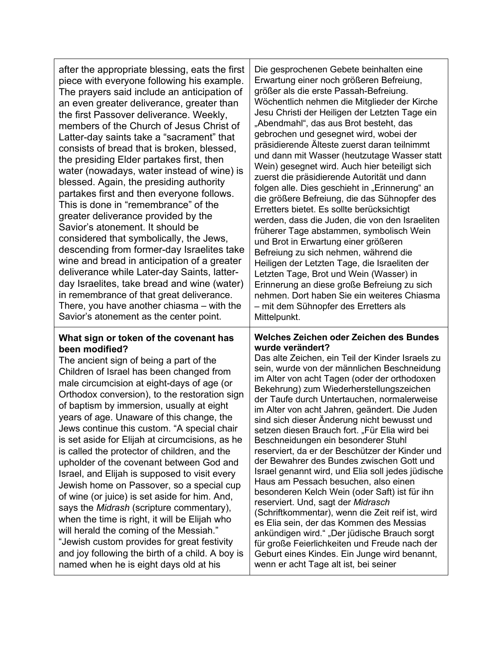after the appropriate blessing, eats the first piece with everyone following his example. The prayers said include an anticipation of an even greater deliverance, greater than the first Passover deliverance. Weekly, members of the Church of Jesus Christ of Latter-day saints take a "sacrament" that consists of bread that is broken, blessed, the presiding Elder partakes first, then water (nowadays, water instead of wine) is blessed. Again, the presiding authority partakes first and then everyone follows. This is done in "remembrance" of the greater deliverance provided by the Savior's atonement. It should be considered that symbolically, the Jews, descending from former-day Israelites take wine and bread in anticipation of a greater deliverance while Later-day Saints, latterday Israelites, take bread and wine (water) in remembrance of that great deliverance. There, you have another chiasma – with the Savior's atonement as the center point.

## **What sign or token of the covenant has been modified?**

The ancient sign of being a part of the Children of Israel has been changed from male circumcision at eight-days of age (or Orthodox conversion), to the restoration sign of baptism by immersion, usually at eight years of age. Unaware of this change, the Jews continue this custom. "A special chair is set aside for Elijah at circumcisions, as he is called the protector of children, and the upholder of the covenant between God and Israel, and Elijah is supposed to visit every Jewish home on Passover, so a special cup of wine (or juice) is set aside for him. And, says the *Midrash* (scripture commentary), when the time is right, it will be Elijah who will herald the coming of the Messiah." "Jewish custom provides for great festivity and joy following the birth of a child. A boy is named when he is eight days old at his

Die gesprochenen Gebete beinhalten eine Erwartung einer noch größeren Befreiung, größer als die erste Passah-Befreiung. Wöchentlich nehmen die Mitglieder der Kirche Jesu Christi der Heiligen der Letzten Tage ein "Abendmahl", das aus Brot besteht, das gebrochen und gesegnet wird, wobei der präsidierende Älteste zuerst daran teilnimmt und dann mit Wasser (heutzutage Wasser statt Wein) gesegnet wird. Auch hier beteiligt sich zuerst die präsidierende Autorität und dann folgen alle. Dies geschieht in "Erinnerung" an die größere Befreiung, die das Sühnopfer des Erretters bietet. Es sollte berücksichtigt werden, dass die Juden, die von den Israeliten früherer Tage abstammen, symbolisch Wein und Brot in Erwartung einer größeren Befreiung zu sich nehmen, während die Heiligen der Letzten Tage, die Israeliten der Letzten Tage, Brot und Wein (Wasser) in Erinnerung an diese große Befreiung zu sich nehmen. Dort haben Sie ein weiteres Chiasma – mit dem Sühnopfer des Erretters als Mittelpunkt.

## **Welches Zeichen oder Zeichen des Bundes wurde verändert?**

Das alte Zeichen, ein Teil der Kinder Israels zu sein, wurde von der männlichen Beschneidung im Alter von acht Tagen (oder der orthodoxen Bekehrung) zum Wiederherstellungszeichen der Taufe durch Untertauchen, normalerweise im Alter von acht Jahren, geändert. Die Juden sind sich dieser Änderung nicht bewusst und setzen diesen Brauch fort. "Für Elia wird bei Beschneidungen ein besonderer Stuhl reserviert, da er der Beschützer der Kinder und der Bewahrer des Bundes zwischen Gott und Israel genannt wird, und Elia soll jedes jüdische Haus am Pessach besuchen, also einen besonderen Kelch Wein (oder Saft) ist für ihn reserviert. Und, sagt der *Midrasch* (Schriftkommentar), wenn die Zeit reif ist, wird es Elia sein, der das Kommen des Messias ankündigen wird." "Der jüdische Brauch sorgt für große Feierlichkeiten und Freude nach der Geburt eines Kindes. Ein Junge wird benannt, wenn er acht Tage alt ist, bei seiner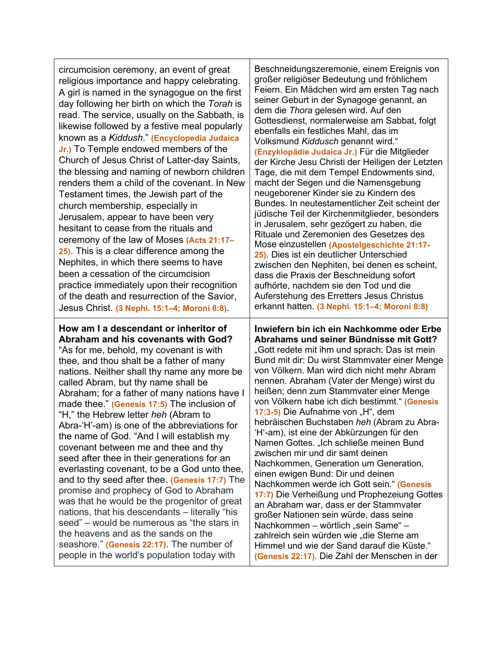circumcision ceremony, an event of great religious importance and happy celebrating. A girl is named in the synagogue on the first day following her birth on which the *Torah* is read. The service, usually on the Sabbath, is likewise followed by a festive meal popularly known as a *Kiddush*." **(Encyclopedia Judaica Jr.)** To Temple endowed members of the Church of Jesus Christ of Latter-day Saints, the blessing and naming of newborn children renders them a child of the covenant. In New Testament times, the Jewish part of the church membership, especially in Jerusalem, appear to have been very hesitant to cease from the rituals and ceremony of the law of Moses **(Acts 21:17– 25)**. This is a clear difference among the Nephites, in which there seems to have been a cessation of the circumcision practice immediately upon their recognition of the death and resurrection of the Savior, Jesus Christ. **(3 Nephi. 15:1–4; Moroni 8:8)**.

**How am I a descendant or inheritor of Abraham and his covenants with God?** "As for me, behold, my covenant is with thee, and thou shalt be a father of many nations. Neither shall thy name any more be called Abram, but thy name shall be Abraham; for a father of many nations have I made thee." **(Genesis 17:5)** The inclusion of "H," the Hebrew letter *heh* (Abram to Abra-'H'-am) is one of the abbreviations for the name of God. "And I will establish my covenant between me and thee and thy seed after thee in their generations for an everlasting covenant, to be a God unto thee, and to thy seed after thee. **(Genesis 17:7)** The promise and prophecy of God to Abraham was that he would be the progenitor of great nations, that his descendants – literally "his seed" – would be numerous as "the stars in the heavens and as the sands on the seashore." **(Genesis 22:17)**. The number of people in the world's population today with

Beschneidungszeremonie, einem Ereignis von großer religiöser Bedeutung und fröhlichem Feiern. Ein Mädchen wird am ersten Tag nach seiner Geburt in der Synagoge genannt, an dem die *Thora* gelesen wird. Auf den Gottesdienst, normalerweise am Sabbat, folgt ebenfalls ein festliches Mahl, das im Volksmund *Kiddusch* genannt wird." **(Enzyklopädie Judaica Jr.)** Für die Mitglieder der Kirche Jesu Christi der Heiligen der Letzten Tage, die mit dem Tempel Endowments sind, macht der Segen und die Namensgebung neugeborener Kinder sie zu Kindern des Bundes. In neutestamentlicher Zeit scheint der jüdische Teil der Kirchenmitglieder, besonders in Jerusalem, sehr gezögert zu haben, die Rituale und Zeremonien des Gesetzes des Mose einzustellen **(Apostelgeschichte 21:17- 25)**. Dies ist ein deutlicher Unterschied zwischen den Nephiten, bei denen es scheint, dass die Praxis der Beschneidung sofort aufhörte, nachdem sie den Tod und die Auferstehung des Erretters Jesus Christus erkannt hatten. **(3 Nephi. 15:1–4; Moroni 8:8)**

**Inwiefern bin ich ein Nachkomme oder Erbe Abrahams und seiner Bündnisse mit Gott?** "Gott redete mit ihm und sprach: Das ist mein Bund mit dir: Du wirst Stammvater einer Menge von Völkern. Man wird dich nicht mehr Abram nennen. Abraham (Vater der Menge) wirst du heißen; denn zum Stammvater einer Menge von Völkern habe ich dich bestimmt." **(Genesis 17:3-5)** Die Aufnahme von "H", dem hebräischen Buchstaben *heh* (Abram zu Abra- 'H'-am), ist eine der Abkürzungen für den Namen Gottes. "Ich schließe meinen Bund zwischen mir und dir samt deinen Nachkommen, Generation um Generation, einen ewigen Bund: Dir und deinen Nachkommen werde ich Gott sein." **(Genesis 17:7)** Die Verheißung und Prophezeiung Gottes an Abraham war, dass er der Stammvater großer Nationen sein würde, dass seine Nachkommen – wörtlich "sein Same" – zahlreich sein würden wie "die Sterne am Himmel und wie der Sand darauf die Küste." **(Genesis 22:17).** Die Zahl der Menschen in der